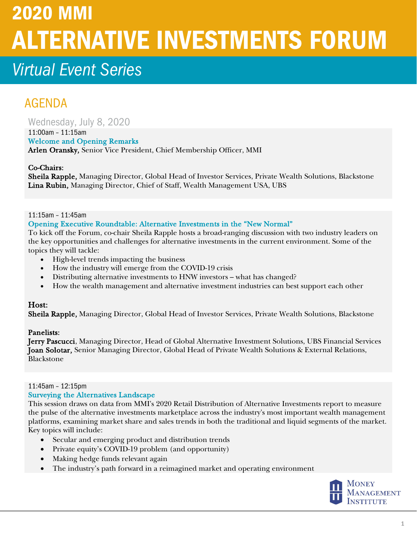# 2020 MMI ALTERNATIVE INVESTMENTS FORUM

## *<i>Virtual Event Series*

### AGENDA

Wednesday, July 8, 2020

#### 11:00am – 11:15am

Welcome and Opening Remarks Arlen Oransky, Senior Vice President, Chief Membership Officer, MMI

#### Co-Chairs:

Sheila Rapple, Managing Director, Global Head of Investor Services, Private Wealth Solutions, Blackstone Lina Rubin, Managing Director, Chief of Staff, Wealth Management USA, UBS

#### 11:15am – 11:45am

#### Opening Executive Roundtable: Alternative Investments in the "New Normal"

To kick off the Forum, co-chair Sheila Rapple hosts a broad-ranging discussion with two industry leaders on the key opportunities and challenges for alternative investments in the current environment. Some of the topics they will tackle:

- High-level trends impacting the business
- How the industry will emerge from the COVID-19 crisis
- Distributing alternative investments to HNW investors what has changed?
- How the wealth management and alternative investment industries can best support each other

#### Host:

Sheila Rapple, Managing Director, Global Head of Investor Services, Private Wealth Solutions, Blackstone

#### Panelists:

Jerry Pascucci, Managing Director, Head of Global Alternative Investment Solutions, UBS Financial Services Joan Solotar, Senior Managing Director, Global Head of Private Wealth Solutions & External Relations, Blackstone

#### 11:45am – 12:15pm

#### Surveying the Alternatives Landscape

This session draws on data from MMI's 2020 Retail Distribution of Alternative Investments report to measure the pulse of the alternative investments marketplace across the industry's most important wealth management platforms, examining market share and sales trends in both the traditional and liquid segments of the market. Key topics will include:

- Secular and emerging product and distribution trends
- Private equity's COVID-19 problem (and opportunity)
- Making hedge funds relevant again
- The industry's path forward in a reimagined market and operating environment

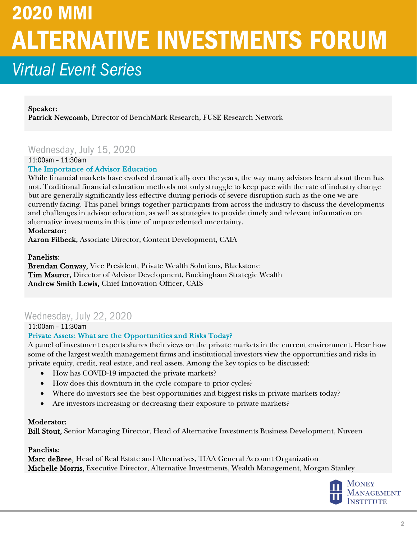# 2020 MMI ALTERNATIVE INVESTMENTS FORUM

### *<i>Virtual Event Series*

Speaker: Patrick Newcomb, Director of BenchMark Research, FUSE Research Network

#### Wednesday, July 15, 2020

11:00am – 11:30am

#### The Importance of Advisor Education

While financial markets have evolved dramatically over the years, the way many advisors learn about them has not. Traditional financial education methods not only struggle to keep pace with the rate of industry change but are generally significantly less effective during periods of severe disruption such as the one we are currently facing. This panel brings together participants from across the industry to discuss the developments and challenges in advisor education, as well as strategies to provide timely and relevant information on alternative investments in this time of unprecedented uncertainty.

#### Moderator:

Aaron Filbeck, Associate Director, Content Development, CAIA

#### Panelists:

Brendan Conway, Vice President, Private Wealth Solutions, Blackstone Tim Maurer, Director of Advisor Development, Buckingham Strategic Wealth Andrew Smith Lewis, Chief Innovation Officer, CAIS

#### Wednesday, July 22, 2020

11:00am – 11:30am

#### Private Assets: What are the Opportunities and Risks Today?

A panel of investment experts shares their views on the private markets in the current environment. Hear how some of the largest wealth management firms and institutional investors view the opportunities and risks in private equity, credit, real estate, and real assets. Among the key topics to be discussed:

- How has COVID-19 impacted the private markets?
- How does this downturn in the cycle compare to prior cycles?
- Where do investors see the best opportunities and biggest risks in private markets today?
- Are investors increasing or decreasing their exposure to private markets?

#### Moderator:

Bill Stout, Senior Managing Director, Head of Alternative Investments Business Development, Nuveen

#### Panelists:

Marc deBree, Head of Real Estate and Alternatives, TIAA General Account Organization Michelle Morris, Executive Director, Alternative Investments, Wealth Management, Morgan Stanley

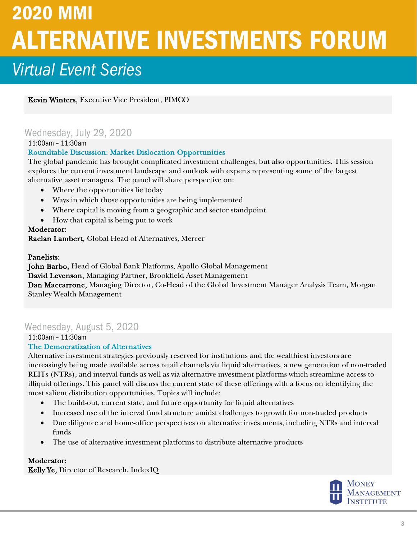# 2020 MMI ALTERNATIVE INVESTMENTS FORUM *<i>Virtual Event Series*

Kevin Winters, Executive Vice President, PIMCO

#### Wednesday, July 29, 2020

11:00am – 11:30am

#### Roundtable Discussion: Market Dislocation Opportunities

The global pandemic has brought complicated investment challenges, but also opportunities. This session explores the current investment landscape and outlook with experts representing some of the largest alternative asset managers. The panel will share perspective on:

- Where the opportunities lie today
- Ways in which those opportunities are being implemented
- Where capital is moving from a geographic and sector standpoint
- How that capital is being put to work

#### Moderator:

Raelan Lambert, Global Head of Alternatives, Mercer

#### Panelists:

John Barbo, Head of Global Bank Platforms, Apollo Global Management David Levenson, Managing Partner, Brookfield Asset Management Dan Maccarrone, Managing Director, Co-Head of the Global Investment Manager Analysis Team, Morgan Stanley Wealth Management

### Wednesday, August 5, 2020

11:00am – 11:30am

#### The Democratization of Alternatives

Alternative investment strategies previously reserved for institutions and the wealthiest investors are increasingly being made available across retail channels via liquid alternatives, a new generation of non-traded REITs (NTRs), and interval funds as well as via alternative investment platforms which streamline access to illiquid offerings. This panel will discuss the current state of these offerings with a focus on identifying the most salient distribution opportunities. Topics will include:

- The build-out, current state, and future opportunity for liquid alternatives
- Increased use of the interval fund structure amidst challenges to growth for non-traded products
- Due diligence and home-office perspectives on alternative investments, including NTRs and interval funds
- The use of alternative investment platforms to distribute alternative products

#### Moderator:

Kelly Ye, Director of Research, IndexIQ